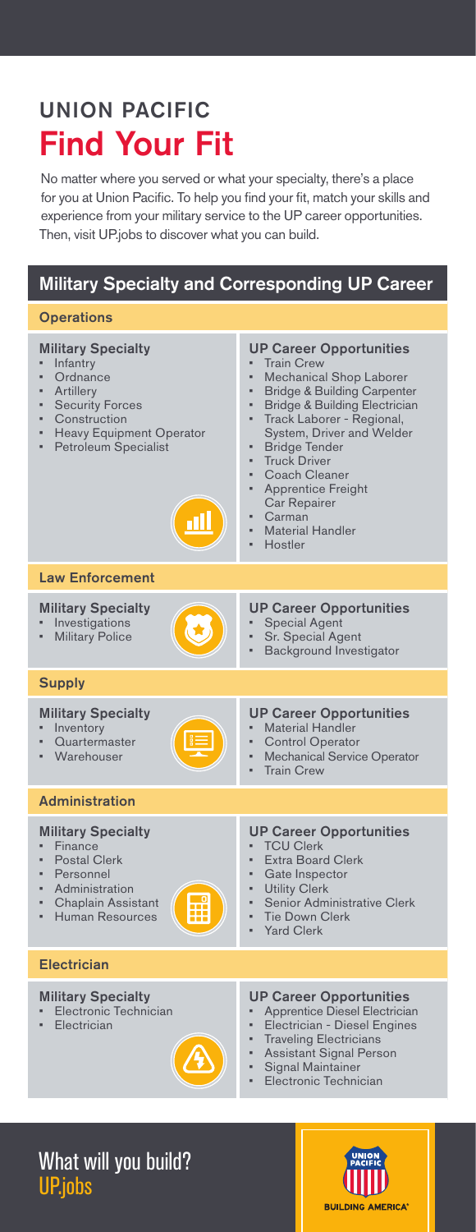# UNION PACIFIC Find Your Fit

No matter where you served or what your specialty, there's a place for you at Union Pacific. To help you find your fit, match your skills and experience from your military service to the UP career opportunities. Then, visit UP.jobs to discover what you can build.

### Military Specialty and Corresponding UP Career

#### **Operations**

| <b>Military Specialty</b><br>Infantry<br>Ordnance<br>×,<br>Artillery<br><b>Security Forces</b><br>×<br>Construction<br><b>Heavy Equipment Operator</b><br>×.<br>Petroleum Specialist | <b>UP Career Opportunities</b><br><b>Train Crew</b><br><b>Mechanical Shop Laborer</b><br>×.<br><b>Bridge &amp; Building Carpenter</b><br><b>Bridge &amp; Building Electrician</b><br>×<br>Track Laborer - Regional,<br>×<br>System, Driver and Welder<br><b>Bridge Tender</b><br><b>Truck Driver</b><br>ä<br>Coach Cleaner<br><b>Apprentice Freight</b><br>Car Repairer<br>Carman<br><b>Material Handler</b><br>Hostler |
|--------------------------------------------------------------------------------------------------------------------------------------------------------------------------------------|-------------------------------------------------------------------------------------------------------------------------------------------------------------------------------------------------------------------------------------------------------------------------------------------------------------------------------------------------------------------------------------------------------------------------|
| <b>Law Enforcement</b>                                                                                                                                                               |                                                                                                                                                                                                                                                                                                                                                                                                                         |
| <b>Military Specialty</b><br>Investigations<br>Military Police                                                                                                                       | <b>UP Career Opportunities</b><br><b>Special Agent</b><br>Sr. Special Agent<br><b>Background Investigator</b>                                                                                                                                                                                                                                                                                                           |
| <b>Supply</b>                                                                                                                                                                        |                                                                                                                                                                                                                                                                                                                                                                                                                         |
| <b>Military Specialty</b><br>Inventory<br>Quartermaster<br>Warehouser                                                                                                                | <b>UP Career Opportunities</b><br><b>Material Handler</b><br><b>Control Operator</b><br><b>Mechanical Service Operator</b><br>a,<br><b>Train Crew</b>                                                                                                                                                                                                                                                                   |
| <b>Administration</b>                                                                                                                                                                |                                                                                                                                                                                                                                                                                                                                                                                                                         |
| <b>Military Specialty</b><br>Finance<br><b>Postal Clerk</b><br>Personnel<br>Administration<br>×<br><b>Chaplain Assistant</b><br>Human Resources                                      | <b>UP Career Opportunities</b><br><b>TCU Clerk</b><br><b>Extra Board Clerk</b><br>Gate Inspector<br><b>Utility Clerk</b><br>a,<br>Senior Administrative Clerk<br><b>Tie Down Clerk</b><br><b>Yard Clerk</b>                                                                                                                                                                                                             |
| <b>Electrician</b>                                                                                                                                                                   |                                                                                                                                                                                                                                                                                                                                                                                                                         |
| <b>Military Specialty</b><br>Electronic Technician<br>Electrician                                                                                                                    | <b>UP Career Opportunities</b><br>Apprentice Diesel Electrician<br>Electrician - Diesel Engines<br><b>Traveling Electricians</b><br><b>Assistant Signal Person</b><br><b>Signal Maintainer</b><br>Electronic Technician                                                                                                                                                                                                 |

# What will you build? UP.jobs